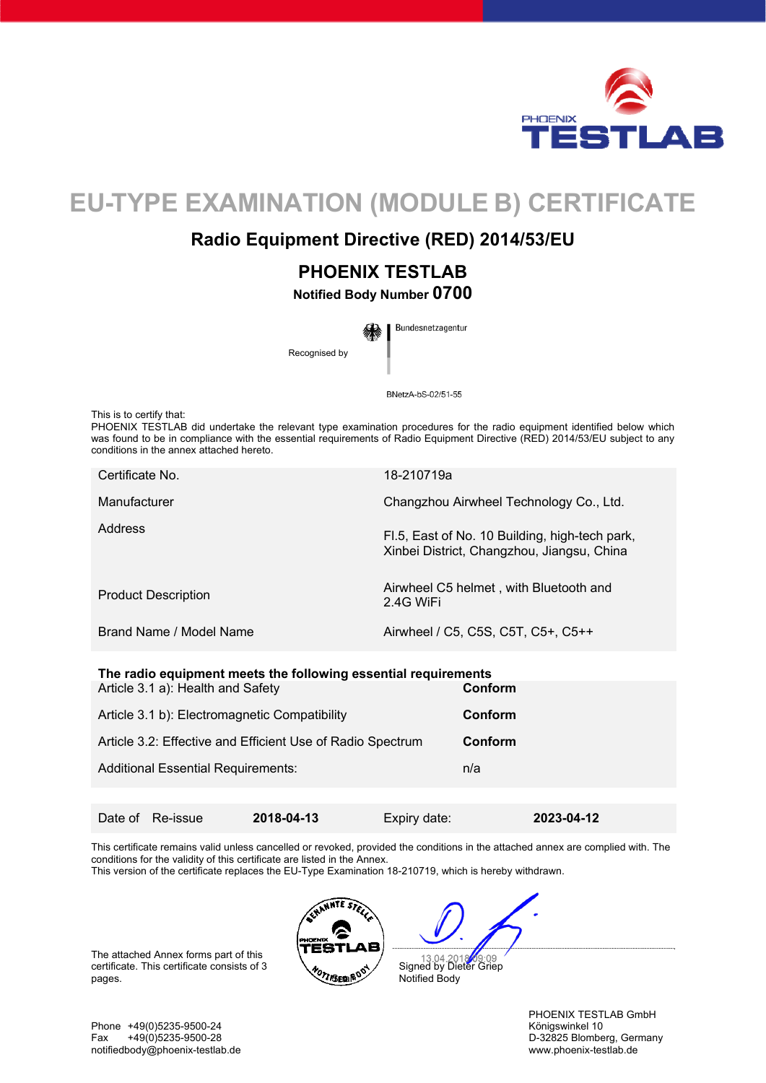

# **EU-TYPE EXAMINATION (MODULE B) CERTIFICATE**

# **Radio Equipment Directive (RED) 2014/53/EU**

## **PHOENIX TESTLAB**

**Notified Body Number 0700** 

Bundesnetzagentur Recognised by

BNetzA-bS-02/51-55

This is to certify that:

PHOENIX TESTLAB did undertake the relevant type examination procedures for the radio equipment identified below which was found to be in compliance with the essential requirements of Radio Equipment Directive (RED) 2014/53/EU subject to any conditions in the annex attached hereto.

| Certificate No.            | 18-210719a                                                                                   |
|----------------------------|----------------------------------------------------------------------------------------------|
| Manufacturer               | Changzhou Airwheel Technology Co., Ltd.                                                      |
| <b>Address</b>             | FI.5, East of No. 10 Building, high-tech park,<br>Xinbei District, Changzhou, Jiangsu, China |
| <b>Product Description</b> | Airwheel C5 helmet, with Bluetooth and<br>2.4G WiFi                                          |
| Brand Name / Model Name    | Airwheel / C5, C5S, C5T, C5+, C5++                                                           |
|                            |                                                                                              |

**The radio equipment meets the following essential requirements**  Article 3.1 a): Health and Safety **Conform** Article 3.1 b): Electromagnetic Compatibility **Conform** Article 3.2: Effective and Efficient Use of Radio Spectrum **Conform** Additional Essential Requirements: n/a

Date of Re-issue **2018-04-13** Expiry date: **2023-04-12** 

This certificate remains valid unless cancelled or revoked, provided the conditions in the attached annex are complied with. The conditions for the validity of this certificate are listed in the Annex.

This version of the certificate replaces the EU-Type Examination 18-210719, which is hereby withdrawn.

The attached Annex forms part of this certificate. This certificate consists of 3



13.04.2018 Signed by Dieter Griep Notified Body

PHOENIX TESTLAB GmbH<br>Königswinkel 10

Phone +49(0)5235-9500-24<br>Fax +49(0)5235-9500-28 Fax +49(0)5235-9500-28 D-32825 Blomberg, Germany notifiedbody@phoenix-testlab.de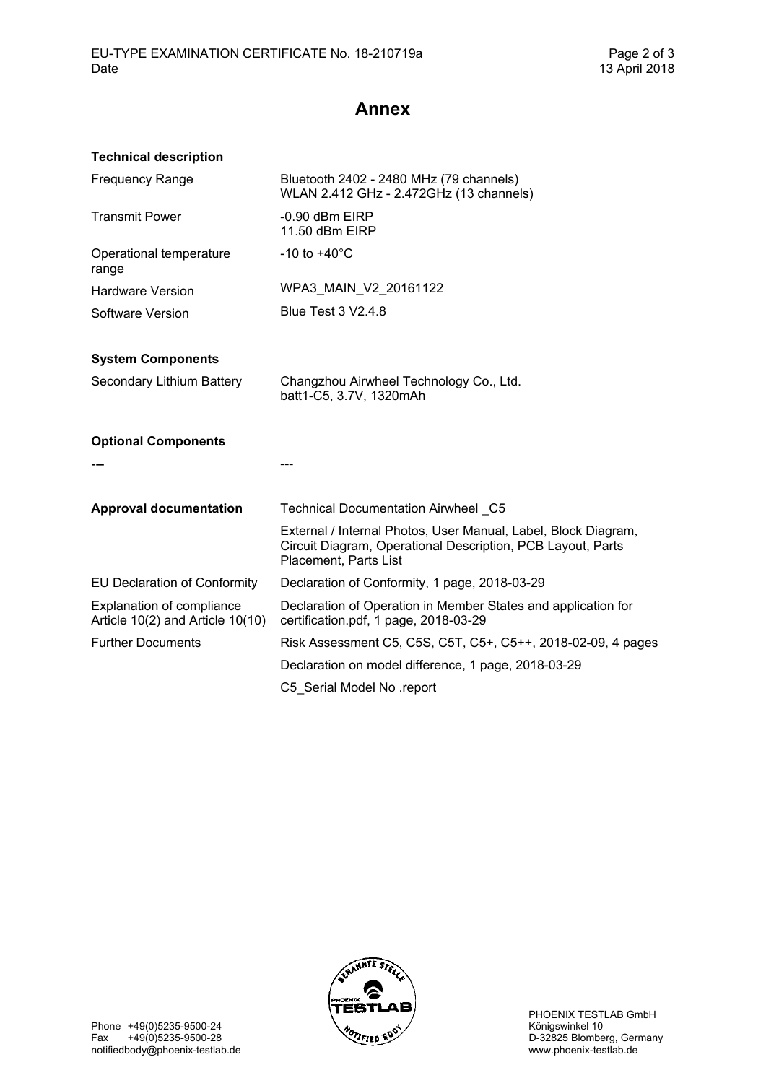## **Annex**

| <b>Technical description</b>                                             |                                                                                                                                                        |
|--------------------------------------------------------------------------|--------------------------------------------------------------------------------------------------------------------------------------------------------|
| <b>Frequency Range</b>                                                   | Bluetooth 2402 - 2480 MHz (79 channels)<br>WLAN 2.412 GHz - 2.472GHz (13 channels)                                                                     |
| <b>Transmit Power</b>                                                    | $-0.90$ dBm EIRP<br>11.50 dBm EIRP                                                                                                                     |
| Operational temperature<br>range                                         | $-10$ to $+40^{\circ}$ C                                                                                                                               |
| Hardware Version                                                         | WPA3 MAIN V2 20161122                                                                                                                                  |
| Software Version                                                         | <b>Blue Test 3 V2.4.8</b>                                                                                                                              |
| <b>System Components</b>                                                 |                                                                                                                                                        |
| Secondary Lithium Battery                                                | Changzhou Airwheel Technology Co., Ltd.<br>batt1-C5, 3.7V, 1320mAh                                                                                     |
| <b>Optional Components</b>                                               |                                                                                                                                                        |
|                                                                          |                                                                                                                                                        |
| <b>Approval documentation</b>                                            | Technical Documentation Airwheel C5                                                                                                                    |
|                                                                          | External / Internal Photos, User Manual, Label, Block Diagram,<br>Circuit Diagram, Operational Description, PCB Layout, Parts<br>Placement, Parts List |
| <b>EU Declaration of Conformity</b>                                      | Declaration of Conformity, 1 page, 2018-03-29                                                                                                          |
| <b>Explanation of compliance</b><br>Article $10(2)$ and Article $10(10)$ | Declaration of Operation in Member States and application for<br>certification.pdf, 1 page, 2018-03-29                                                 |
| <b>Further Documents</b>                                                 | Risk Assessment C5, C5S, C5T, C5+, C5++, 2018-02-09, 4 pages                                                                                           |
|                                                                          | Declaration on model difference, 1 page, 2018-03-29                                                                                                    |
|                                                                          | C5 Serial Model No .report                                                                                                                             |